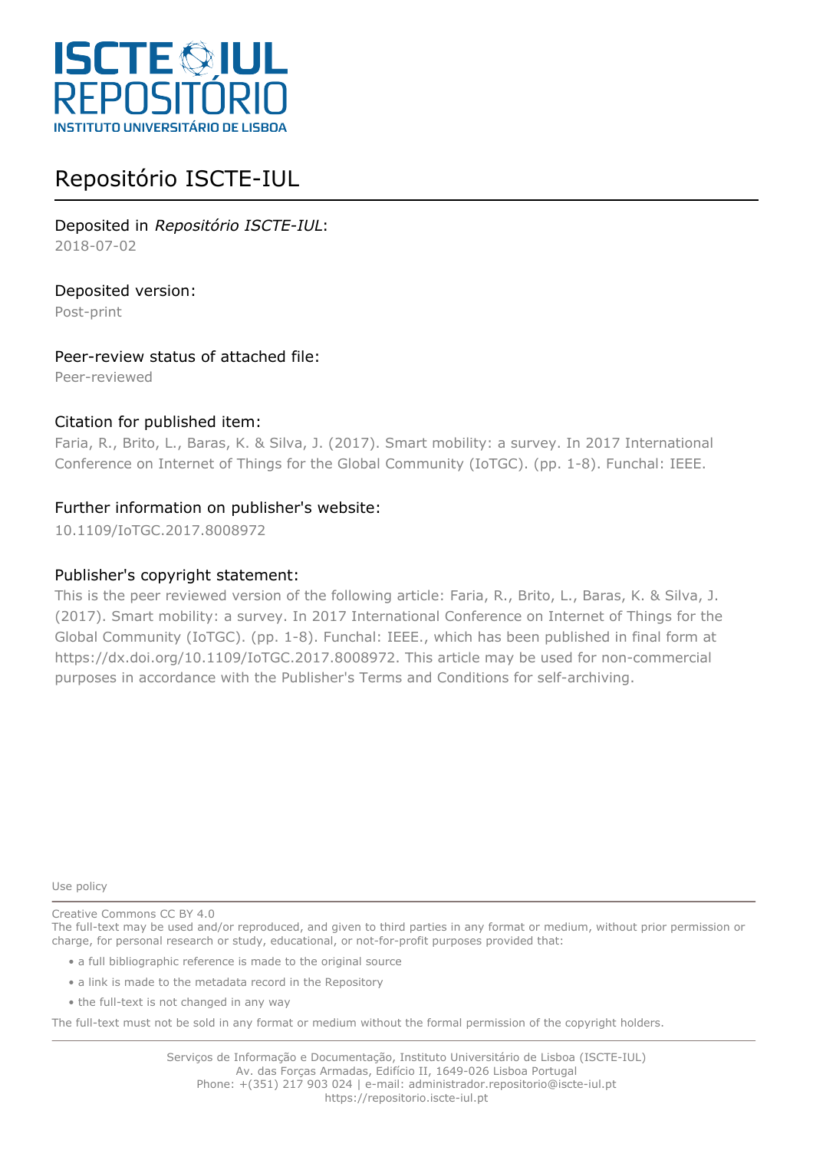

# Repositório ISCTE-IUL

Deposited in Repositório ISCTE-IUL: 2018-07-02

Deposited version: Post-print

## Peer-review status of attached file:

Peer-reviewed

# Citation for published item:

Faria, R., Brito, L., Baras, K. & Silva, J. (2017). Smart mobility: a survey. In 2017 International Conference on Internet of Things for the Global Community (IoTGC). (pp. 1-8). Funchal: IEEE.

# Further information on publisher's website:

10.1109/IoTGC.2017.8008972

## Publisher's copyright statement:

This is the peer reviewed version of the following article: Faria, R., Brito, L., Baras, K. & Silva, J. (2017). Smart mobility: a survey. In 2017 International Conference on Internet of Things for the Global Community (IoTGC). (pp. 1-8). Funchal: IEEE., which has been published in final form at https://dx.doi.org/10.1109/IoTGC.2017.8008972. This article may be used for non-commercial purposes in accordance with the Publisher's Terms and Conditions for self-archiving.

Use policy

Creative Commons CC BY 4.0 The full-text may be used and/or reproduced, and given to third parties in any format or medium, without prior permission or charge, for personal research or study, educational, or not-for-profit purposes provided that:

- a full bibliographic reference is made to the original source
- a link is made to the metadata record in the Repository
- the full-text is not changed in any way

The full-text must not be sold in any format or medium without the formal permission of the copyright holders.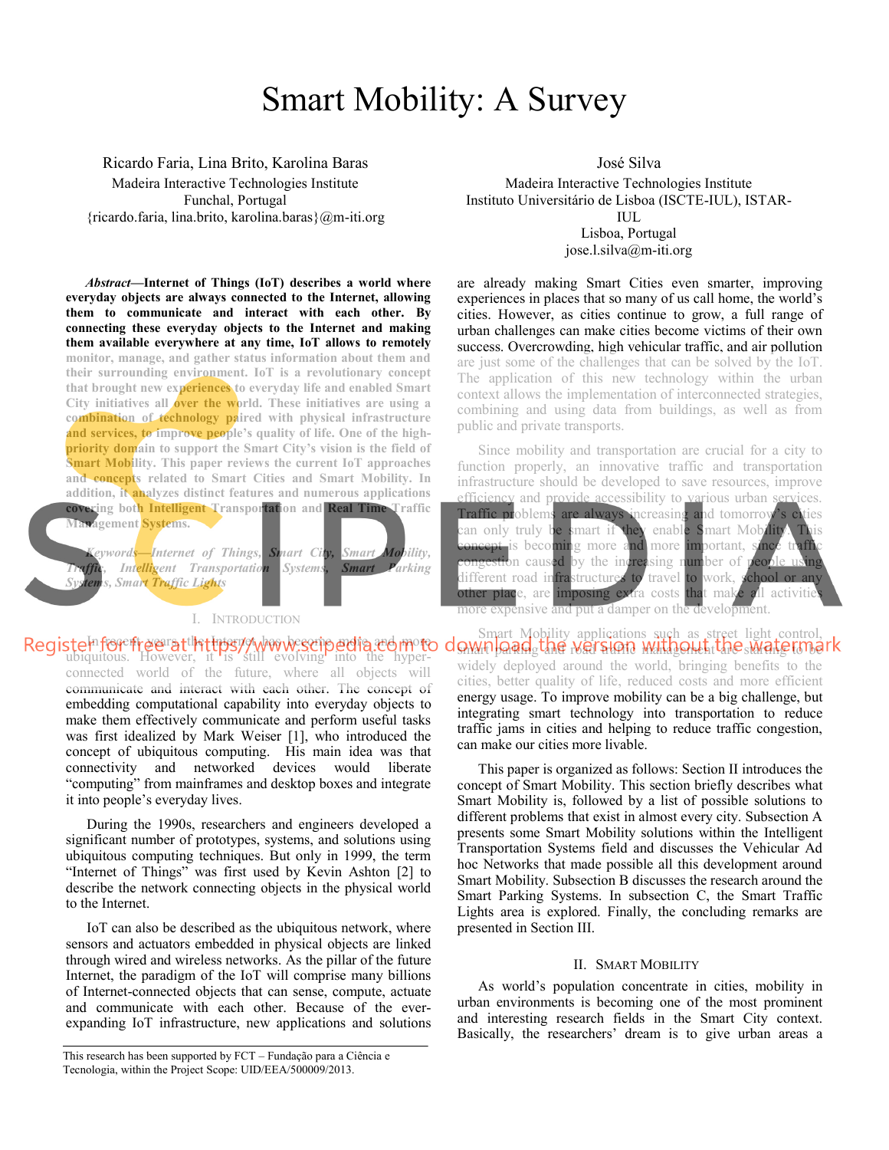# Smart Mobility: A Survey

Ricardo Faria, Lina Brito, Karolina Baras Madeira Interactive Technologies Institute Funchal, Portugal {ricardo.faria, lina.brito, karolina.baras} $@m$ -iti.org

*Abstract***—Internet of Things (IoT) describes a world where everyday objects are always connected to the Internet, allowing them to communicate and interact with each other. By connecting these everyday objects to the Internet and making them available everywhere at any time, IoT allows to remotely monitor, manage, and gather status information about them and their surrounding environment. IoT is a revolutionary concept that brought new experiences to everyday life and enabled Smart City initiatives all over the world. These initiatives are using a combination of technology paired with physical infrastructure and services, to improve people's quality of life. One of the highpriority domain to support the Smart City's vision is the field of Smart Mobility. This paper reviews the current IoT approaches and concepts related to Smart Cities and Smart Mobility. In addition, it analyzes distinct features and numerous applications covering both Intelligent Transportation and Real Time Traffic Management Systems.** 

*Keywords—Internet of Things, Smart City, Smart Mobility, Traffic, Intelligent Transportation Systems, Smart Parking Systems, Smart Traffic Lights* 

#### I. INTRODUCTION

In recent years, the Internet has become more and more Ter Tor Hee at Hitps?? WWW.Scipecia.comPto ag<sub>nal</sub> ing and ref and management and the smart particle of the<br>ubiquitous. However, it is still evolving into the hyper-<br>ideas and depend are although hinging benefit to the connected world of the future, where all objects will communicate and interact with each other. The concept of embedding computational capability into everyday objects to make them effectively communicate and perform useful tasks was first idealized by Mark Weiser [1], who introduced the concept of ubiquitous computing. His main idea was that connectivity and networked devices would liberate "computing" from mainframes and desktop boxes and integrate it into people's everyday lives.

During the 1990s, researchers and engineers developed a significant number of prototypes, systems, and solutions using ubiquitous computing techniques. But only in 1999, the term "Internet of Things" was first used by Kevin Ashton [2] to describe the network connecting objects in the physical world to the Internet.

IoT can also be described as the ubiquitous network, where sensors and actuators embedded in physical objects are linked through wired and wireless networks. As the pillar of the future Internet, the paradigm of the IoT will comprise many billions of Internet-connected objects that can sense, compute, actuate and communicate with each other. Because of the everexpanding IoT infrastructure, new applications and solutions

José Silva Madeira Interactive Technologies Institute Instituto Universitário de Lisboa (ISCTE-IUL), ISTAR-IUL Lisboa, Portugal jose.l.silva@m-iti.org

are already making Smart Cities even smarter, improving experiences in places that so many of us call home, the world's cities. However, as cities continue to grow, a full range of urban challenges can make cities become victims of their own success. Overcrowding, high vehicular traffic, and air pollution are just some of the challenges that can be solved by the IoT. The application of this new technology within the urban context allows the implementation of interconnected strategies, combining and using data from buildings, as well as from public and private transports.

Since mobility and transportation are crucial for a city to function properly, an innovative traffic and transportation infrastructure should be developed to save resources, improve efficiency and provide accessibility to various urban services. Traffic problems are always increasing and tomorrow's cities can only truly be smart if they enable Smart Mobility. This concept is becoming more and more important, since traffic ngestion caused by the increasing number of people using different road infrastructures to travel to work, school or any other place, are imposing extra costs that make all activities more expensive and put a damper on the development.

widely deployed around the world, bringing benefits to the cities, better quality of life, reduced costs and more efficient energy usage. To improve mobility can be a big challenge, but integrating smart technology into transportation to reduce traffic jams in cities and helping to reduce traffic congestion, can make our cities more livable.

Smart Mobility applications such as street light control

This paper is organized as follows: Section II introduces the concept of Smart Mobility. This section briefly describes what Smart Mobility is, followed by a list of possible solutions to different problems that exist in almost every city. Subsection A presents some Smart Mobility solutions within the Intelligent Transportation Systems field and discusses the Vehicular Ad hoc Networks that made possible all this development around Smart Mobility. Subsection B discusses the research around the Smart Parking Systems. In subsection C, the Smart Traffic Lights area is explored. Finally, the concluding remarks are presented in Section III.

### II. SMART MOBILITY

As world's population concentrate in cities, mobility in urban environments is becoming one of the most prominent and interesting research fields in the Smart City context. Basically, the researchers' dream is to give urban areas a

This research has been supported by FCT – Fundação para a Ciência e Tecnologia, within the Project Scope: UID/EEA/500009/2013.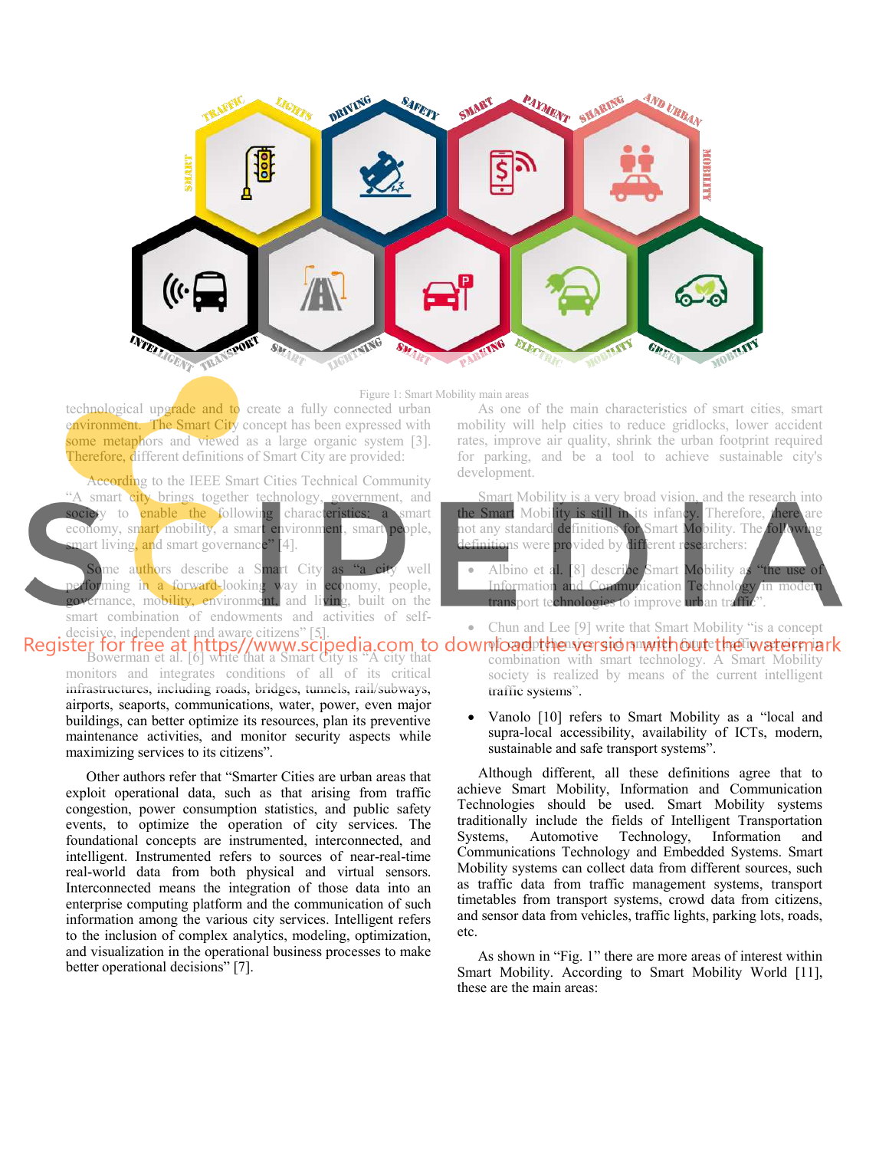

Figure 1: Smart Mobility main areas

technological upgrade and to create a fully connected urban environment. The Smart City concept has been expressed with some metaphors and viewed as a large organic system [3]. Therefore, different definitions of Smart City are provided:

According to the IEEE Smart Cities Technical Community "A smart city brings together technology, government, and society to enable the following characteristics: a smart economy, smart mobility, a smart environment, smart people, smart living, and smart governance" [4].

Some authors describe a Smart City as "a city well performing in a forward-looking way in economy, people, governance, mobility, environment, and living, built on the smart combination of endowments and activities of selfdecisive, independent and aware citizens" [5].

Bowerman et al. [6] write that a Smart City is "A city that monitors and integrates conditions of all of its critical infrastructures, including roads, bridges, tunnels, rail/subways, airports, seaports, communications, water, power, even major buildings, can better optimize its resources, plan its preventive maintenance activities, and monitor security aspects while maximizing services to its citizens".

Other authors refer that "Smarter Cities are urban areas that exploit operational data, such as that arising from traffic congestion, power consumption statistics, and public safety events, to optimize the operation of city services. The foundational concepts are instrumented, interconnected, and intelligent. Instrumented refers to sources of near-real-time real-world data from both physical and virtual sensors. Interconnected means the integration of those data into an enterprise computing platform and the communication of such information among the various city services. Intelligent refers to the inclusion of complex analytics, modeling, optimization, and visualization in the operational business processes to make better operational decisions" [7].

As one of the main characteristics of smart cities, smart mobility will help cities to reduce gridlocks, lower accident rates, improve air quality, shrink the urban footprint required for parking, and be a tool to achieve sustainable city's development.

Smart Mobility is a very broad vision, and the research into the Smart Mobility is still in its infancy. Therefore, there are not any standard definitions for Smart Mobility. The following finitions were provided by different researchers:

Albino et al. [8] describe Smart Mobility as "the use of Information and Communication Technology in mode transport technologies to improve urban traffic

• Chun and Lee [9] write that Smart Mobility "is a concept pfoadpthenversion with outethefiwaterma combination with smart technology. A Smart Mobility society is realized by means of the current intelligent traffic systems".

• Vanolo [10] refers to Smart Mobility as a "local and supra-local accessibility, availability of ICTs, modern, sustainable and safe transport systems".

Although different, all these definitions agree that to achieve Smart Mobility, Information and Communication Technologies should be used. Smart Mobility systems traditionally include the fields of Intelligent Transportation Systems, Automotive Technology, Information and Communications Technology and Embedded Systems. Smart Mobility systems can collect data from different sources, such as traffic data from traffic management systems, transport timetables from transport systems, crowd data from citizens, and sensor data from vehicles, traffic lights, parking lots, roads, etc.

As shown in "Fig. 1" there are more areas of interest within Smart Mobility. According to Smart Mobility World [11], these are the main areas: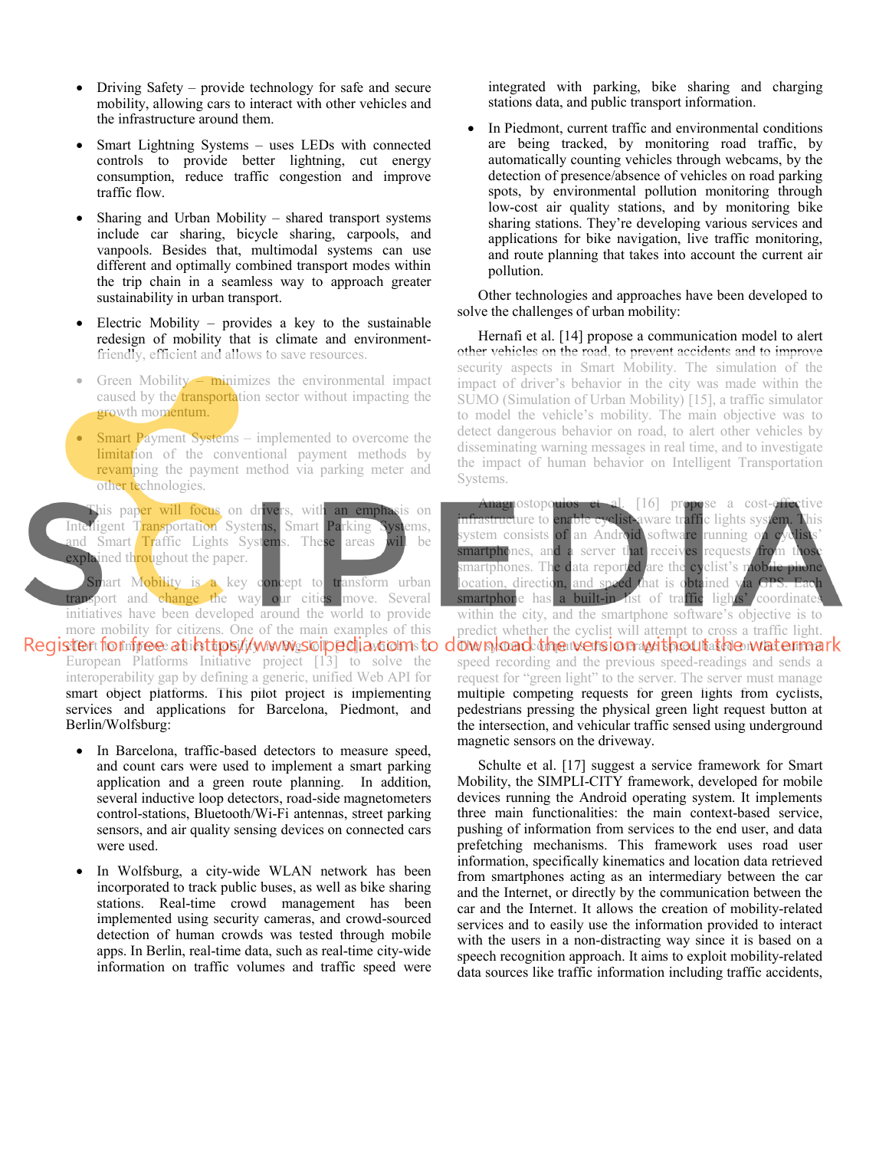- Driving Safety provide technology for safe and secure mobility, allowing cars to interact with other vehicles and the infrastructure around them.
- Smart Lightning Systems uses LEDs with connected controls to provide better lightning, cut energy consumption, reduce traffic congestion and improve traffic flow.
- Sharing and Urban Mobility shared transport systems include car sharing, bicycle sharing, carpools, and vanpools. Besides that, multimodal systems can use different and optimally combined transport modes within the trip chain in a seamless way to approach greater sustainability in urban transport.
- Electric Mobility provides a key to the sustainable redesign of mobility that is climate and environmentfriendly, efficient and allows to save resources.
- Green Mobility  $-$  minimizes the environmental impact caused by the transportation sector without impacting the growth momentum.
- Smart Payment Systems implemented to overcome the limitation of the conventional payment methods by revamping the payment method via parking meter and other technologies.
- this paper will focus on drivers, with an emphasis on Intelligent Transportation Systems, Smart Parking Systems, and Smart Traffic Lights Systems. These areas will be explained throughout the paper.

Smart Mobility is a key concept to transform urban transport and change the way our cities move. Several initiatives have been developed around the world to provide more mobility for citizens. One of the main examples of this European Platforms Initiative project [13] to solve the interoperability gap by defining a generic, unified Web API for smart object platforms. This pilot project is implementing services and applications for Barcelona, Piedmont, and Berlin/Wolfsburg:

- In Barcelona, traffic-based detectors to measure speed, and count cars were used to implement a smart parking application and a green route planning. In addition, several inductive loop detectors, road-side magnetometers control-stations, Bluetooth/Wi-Fi antennas, street parking sensors, and air quality sensing devices on connected cars were used.
- In Wolfsburg, a city-wide WLAN network has been incorporated to track public buses, as well as bike sharing stations. Real-time crowd management has been implemented using security cameras, and crowd-sourced detection of human crowds was tested through mobile apps. In Berlin, real-time data, such as real-time city-wide information on traffic volumes and traffic speed were

integrated with parking, bike sharing and charging stations data, and public transport information.

• In Piedmont, current traffic and environmental conditions are being tracked, by monitoring road traffic, by automatically counting vehicles through webcams, by the detection of presence/absence of vehicles on road parking spots, by environmental pollution monitoring through low-cost air quality stations, and by monitoring bike sharing stations. They're developing various services and applications for bike navigation, live traffic monitoring, and route planning that takes into account the current air pollution.

Other technologies and approaches have been developed to solve the challenges of urban mobility:

Hernafi et al. [14] propose a communication model to alert other vehicles on the road, to prevent accidents and to improve security aspects in Smart Mobility. The simulation of the impact of driver's behavior in the city was made within the SUMO (Simulation of Urban Mobility) [15], a traffic simulator to model the vehicle's mobility. The main objective was to detect dangerous behavior on road, to alert other vehicles by disseminating warning messages in real time, and to investigate the impact of human behavior on Intelligent Transportation Systems.

 $\operatorname{step}$  to impee at intips//www.sciped avoom to download the iversion and thout the waterma Anagnostopoulos et al. [16] propose a cost-effective infrastructure to enable cyclist-aware traffic lights system. This system consists of an Android software running on cyclists' smartphones, and a server that receives requests from those smartphones. The data reported are the cyclist's mobile phone location, direction, and speed that is obtained via GPS. Each smartphone has a built-in list of traffic lights' coordinates within the city, and the smartphone software's objective is to predict whether the cyclist will attempt to cross a traffic light. speed recording and the previous speed-readings and sends a request for "green light" to the server. The server must manage multiple competing requests for green lights from cyclists, pedestrians pressing the physical green light request button at the intersection, and vehicular traffic sensed using underground magnetic sensors on the driveway.

> Schulte et al. [17] suggest a service framework for Smart Mobility, the SIMPLI-CITY framework, developed for mobile devices running the Android operating system. It implements three main functionalities: the main context-based service, pushing of information from services to the end user, and data prefetching mechanisms. This framework uses road user information, specifically kinematics and location data retrieved from smartphones acting as an intermediary between the car and the Internet, or directly by the communication between the car and the Internet. It allows the creation of mobility-related services and to easily use the information provided to interact with the users in a non-distracting way since it is based on a speech recognition approach. It aims to exploit mobility-related data sources like traffic information including traffic accidents,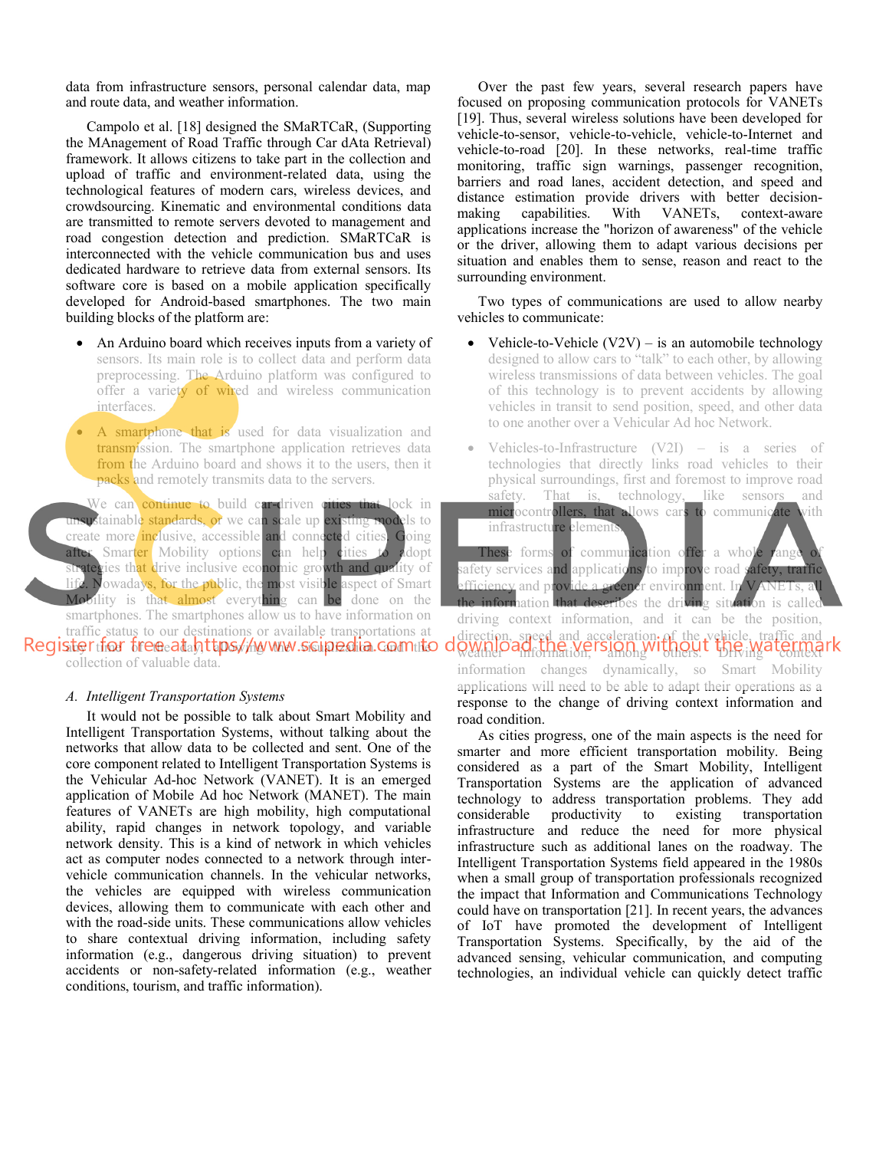data from infrastructure sensors, personal calendar data, map and route data, and weather information.

Campolo et al. [18] designed the SMaRTCaR, (Supporting the MAnagement of Road Traffic through Car dAta Retrieval) framework. It allows citizens to take part in the collection and upload of traffic and environment-related data, using the technological features of modern cars, wireless devices, and crowdsourcing. Kinematic and environmental conditions data are transmitted to remote servers devoted to management and road congestion detection and prediction. SMaRTCaR is interconnected with the vehicle communication bus and uses dedicated hardware to retrieve data from external sensors. Its software core is based on a mobile application specifically developed for Android-based smartphones. The two main building blocks of the platform are:

- An Arduino board which receives inputs from a variety of sensors. Its main role is to collect data and perform data preprocessing. The Arduino platform was configured to offer a variety of wired and wireless communication interfaces.
- A smartphone that is used for data visualization and transmission. The smartphone application retrieves data from the Arduino board and shows it to the users, then it packs and remotely transmits data to the servers.

We can continue to build car-driven cities that lock in unsustainable standards, or we can scale up existing models to create more inclusive, accessible and connected cities. Going after Smarter Mobility options can help cities to adopt strategies that drive inclusive economic growth and quality of . Nowadays, for the public, the most visible aspect of Smart Mobility is that almost everything can be done on the smartphones. The smartphones allow us to have information on traffic status to our destinations or available transportations at Register for tree at https//www.scipedia.com to döw collection of valuable data.

### *A. Intelligent Transportation Systems*

It would not be possible to talk about Smart Mobility and Intelligent Transportation Systems, without talking about the networks that allow data to be collected and sent. One of the core component related to Intelligent Transportation Systems is the Vehicular Ad-hoc Network (VANET). It is an emerged application of Mobile Ad hoc Network (MANET). The main features of VANETs are high mobility, high computational ability, rapid changes in network topology, and variable network density. This is a kind of network in which vehicles act as computer nodes connected to a network through intervehicle communication channels. In the vehicular networks, the vehicles are equipped with wireless communication devices, allowing them to communicate with each other and with the road-side units. These communications allow vehicles to share contextual driving information, including safety information (e.g., dangerous driving situation) to prevent accidents or non-safety-related information (e.g., weather conditions, tourism, and traffic information).

Over the past few years, several research papers have focused on proposing communication protocols for VANETs [19]. Thus, several wireless solutions have been developed for vehicle-to-sensor, vehicle-to-vehicle, vehicle-to-Internet and vehicle-to-road [20]. In these networks, real-time traffic monitoring, traffic sign warnings, passenger recognition, barriers and road lanes, accident detection, and speed and distance estimation provide drivers with better decisionmaking capabilities. With VANETs, context-aware applications increase the "horizon of awareness" of the vehicle or the driver, allowing them to adapt various decisions per situation and enables them to sense, reason and react to the surrounding environment.

Two types of communications are used to allow nearby vehicles to communicate:

- Vehicle-to-Vehicle  $(V2V)$  is an automobile technology designed to allow cars to "talk" to each other, by allowing wireless transmissions of data between vehicles. The goal of this technology is to prevent accidents by allowing vehicles in transit to send position, speed, and other data to one another over a Vehicular Ad hoc Network.
- Vehicles-to-Infrastructure (V2I) is a series of technologies that directly links road vehicles to their physical surroundings, first and foremost to improve road safety. That is, technology, like sensors and microcontrollers, that allows cars to communicate with infrastructure elements.

These forms of communication offer a whole range of safety services and applications to improve road safety, traffic efficiency and provide a greener environment. In VANETs, a the information that describes the driving situation is called driving context information, and it can be the position, direction, speed and acceleration of the vehicle, traffic and weather information, among others. Driving context

information changes dynamically, so Smart Mobility applications will need to be able to adapt their operations as a response to the change of driving context information and road condition.

As cities progress, one of the main aspects is the need for smarter and more efficient transportation mobility. Being considered as a part of the Smart Mobility, Intelligent Transportation Systems are the application of advanced technology to address transportation problems. They add considerable productivity to existing transportation infrastructure and reduce the need for more physical infrastructure such as additional lanes on the roadway. The Intelligent Transportation Systems field appeared in the 1980s when a small group of transportation professionals recognized the impact that Information and Communications Technology could have on transportation [21]. In recent years, the advances of IoT have promoted the development of Intelligent Transportation Systems. Specifically, by the aid of the advanced sensing, vehicular communication, and computing technologies, an individual vehicle can quickly detect traffic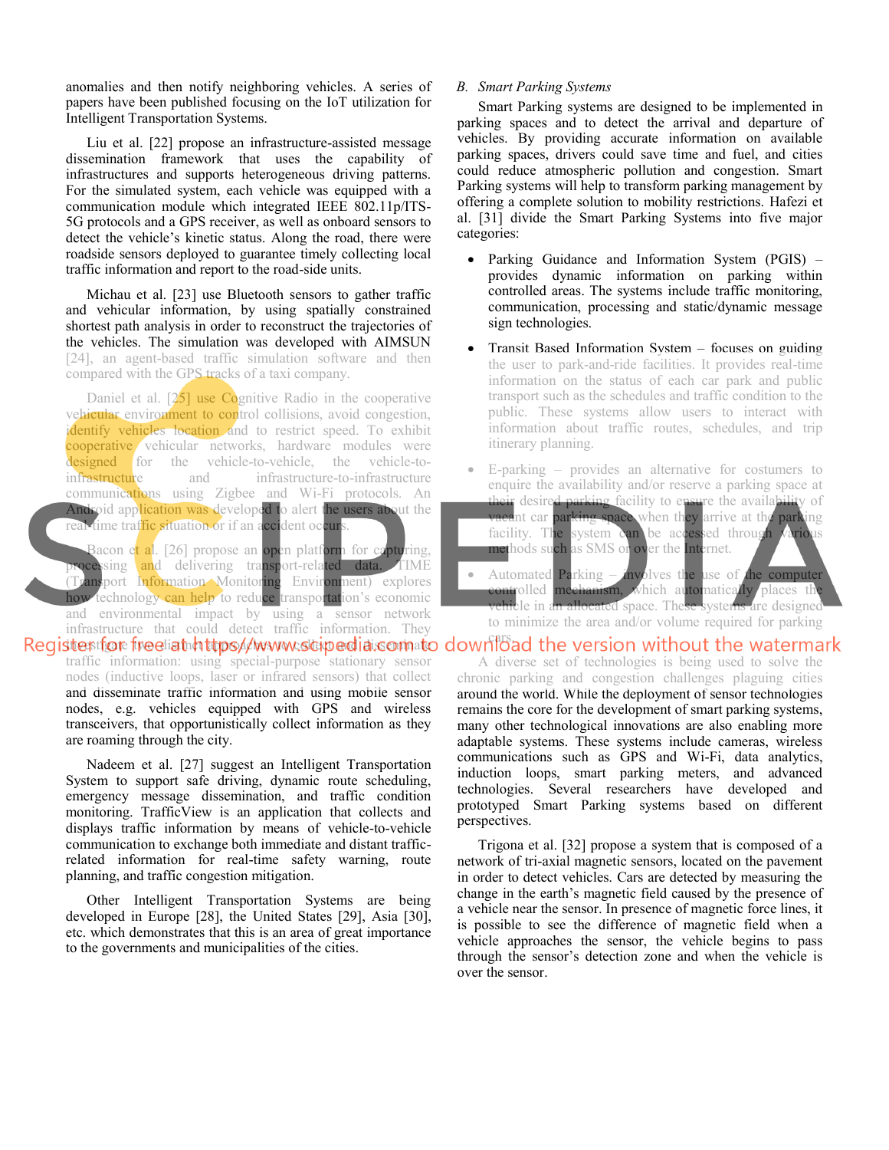anomalies and then notify neighboring vehicles. A series of papers have been published focusing on the IoT utilization for Intelligent Transportation Systems.

Liu et al. [22] propose an infrastructure-assisted message dissemination framework that uses the capability of infrastructures and supports heterogeneous driving patterns. For the simulated system, each vehicle was equipped with a communication module which integrated IEEE 802.11p/ITS-5G protocols and a GPS receiver, as well as onboard sensors to detect the vehicle's kinetic status. Along the road, there were roadside sensors deployed to guarantee timely collecting local traffic information and report to the road-side units.

Michau et al. [23] use Bluetooth sensors to gather traffic and vehicular information, by using spatially constrained shortest path analysis in order to reconstruct the trajectories of the vehicles. The simulation was developed with AIMSUN [24], an agent-based traffic simulation software and then compared with the GPS tracks of a taxi company.

Daniel et al.  $[25]$  use Cognitive Radio in the cooperative vehicular environment to control collisions, avoid congestion, identify vehicles location and to restrict speed. To exhibit cooperative vehicular networks, hardware modules were designed for the vehicle-to-vehicle, the vehicle-toinfrastructure and infrastructure-to-infrastructure communications using Zigbee and Wi-Fi protocols. An Android application was developed to alert the users about the real-time traffic situation or if an accident occurs.

Bacon et al. [26] propose an open platform for capturing, processing and delivering transport-related data. TIME (Transport Information Monitoring Environment) explores how technology can help to reduce transportation's economic and environmental impact by using a sensor network infrastructure that could detect traffic information. They ites for freeligth https://www.scipedigi.comato downfoa traffic information: using special-purpose stationary sensor nodes (inductive loops, laser or infrared sensors) that collect and disseminate traffic information and using mobile sensor nodes, e.g. vehicles equipped with GPS and wireless transceivers, that opportunistically collect information as they are roaming through the city.

Nadeem et al. [27] suggest an Intelligent Transportation System to support safe driving, dynamic route scheduling, emergency message dissemination, and traffic condition monitoring. TrafficView is an application that collects and displays traffic information by means of vehicle-to-vehicle communication to exchange both immediate and distant trafficrelated information for real-time safety warning, route planning, and traffic congestion mitigation.

Other Intelligent Transportation Systems are being developed in Europe [28], the United States [29], Asia [30], etc. which demonstrates that this is an area of great importance to the governments and municipalities of the cities.

### *B. Smart Parking Systems*

Smart Parking systems are designed to be implemented in parking spaces and to detect the arrival and departure of vehicles. By providing accurate information on available parking spaces, drivers could save time and fuel, and cities could reduce atmospheric pollution and congestion. Smart Parking systems will help to transform parking management by offering a complete solution to mobility restrictions. Hafezi et al. [31] divide the Smart Parking Systems into five major categories:

- Parking Guidance and Information System (PGIS) provides dynamic information on parking within controlled areas. The systems include traffic monitoring, communication, processing and static/dynamic message sign technologies.
- Transit Based Information System focuses on guiding the user to park-and-ride facilities. It provides real-time information on the status of each car park and public transport such as the schedules and traffic condition to the public. These systems allow users to interact with information about traffic routes, schedules, and trip itinerary planning.
- E-parking provides an alternative for costumers to enquire the availability and/or reserve a parking space at their desired parking facility to ensure the availability of vacant car parking space when they arrive at the parking facility. The system can be accessed through various methods such as SMS or over the Internet.
- Automated Parking  $-i$ nvolves the use of the computer controlled mechanism, which automatically places the vehicle in an allocated space. These systems are designed to minimize the area and/or volume required for parking

A diverse set of technologies is being used to solve the chronic parking and congestion challenges plaguing cities around the world. While the deployment of sensor technologies remains the core for the development of smart parking systems, many other technological innovations are also enabling more adaptable systems. These systems include cameras, wireless communications such as GPS and Wi-Fi, data analytics, induction loops, smart parking meters, and advanced technologies. Several researchers have developed and prototyped Smart Parking systems based on different perspectives.

Trigona et al. [32] propose a system that is composed of a network of tri-axial magnetic sensors, located on the pavement in order to detect vehicles. Cars are detected by measuring the change in the earth's magnetic field caused by the presence of a vehicle near the sensor. In presence of magnetic force lines, it is possible to see the difference of magnetic field when a vehicle approaches the sensor, the vehicle begins to pass through the sensor's detection zone and when the vehicle is over the sensor.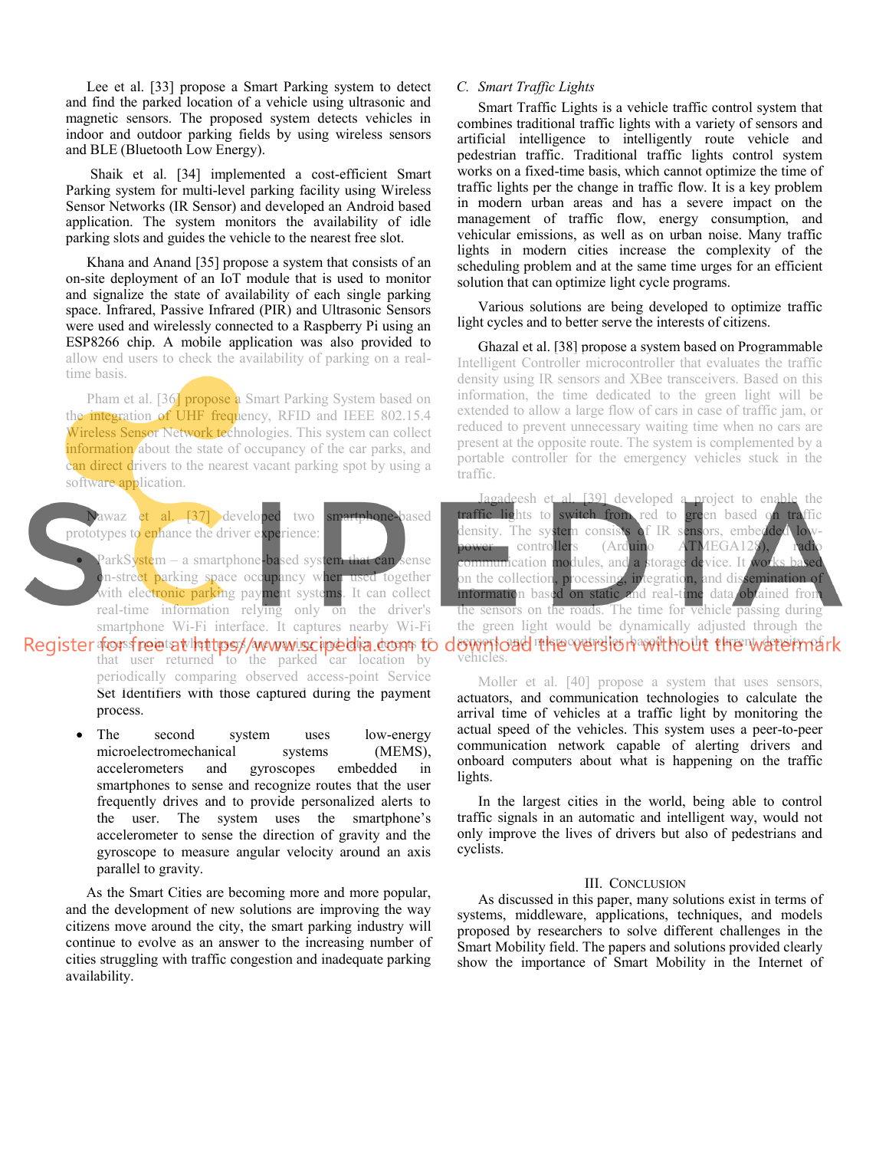Lee et al. [33] propose a Smart Parking system to detect and find the parked location of a vehicle using ultrasonic and magnetic sensors. The proposed system detects vehicles in indoor and outdoor parking fields by using wireless sensors and BLE (Bluetooth Low Energy).

 Shaik et al. [34] implemented a cost-efficient Smart Parking system for multi-level parking facility using Wireless Sensor Networks (IR Sensor) and developed an Android based application. The system monitors the availability of idle parking slots and guides the vehicle to the nearest free slot.

Khana and Anand [35] propose a system that consists of an on-site deployment of an IoT module that is used to monitor and signalize the state of availability of each single parking space. Infrared, Passive Infrared (PIR) and Ultrasonic Sensors were used and wirelessly connected to a Raspberry Pi using an ESP8266 chip. A mobile application was also provided to allow end users to check the availability of parking on a realtime basis.

Pham et al. [36] propose a Smart Parking System based on the integration of UHF frequency, RFID and IEEE 802.15.4 Wireless Sensor Network technologies. This system can collect information about the state of occupancy of the car parks, and can direct drivers to the nearest vacant parking spot by using a software application.

- Nawaz et al. [37] developed two smartphone-based prototypes to enhance the driver experience: ParkS<mark>yste</mark>m – a smartphone<mark>-ba</mark>sed system that can sense on-street parking space occupancy when used together with electronic parking payment systems. It can collect real-time information relying only on the driver's smartphone Wi-Fi interface. It captures nearby Wi-Fi Register for free at https://www.scipedia.com to
	- that user returned to the parked car location by periodically comparing observed access-point Service Set Identifiers with those captured during the payment process.
		- The second system uses low-energy microelectromechanical systems (MEMS), accelerometers and gyroscopes embedded in smartphones to sense and recognize routes that the user frequently drives and to provide personalized alerts to the user. The system uses the smartphone's accelerometer to sense the direction of gravity and the gyroscope to measure angular velocity around an axis parallel to gravity.

As the Smart Cities are becoming more and more popular, and the development of new solutions are improving the way citizens move around the city, the smart parking industry will continue to evolve as an answer to the increasing number of cities struggling with traffic congestion and inadequate parking availability.

#### *C. Smart Traffic Lights*

Smart Traffic Lights is a vehicle traffic control system that combines traditional traffic lights with a variety of sensors and artificial intelligence to intelligently route vehicle and pedestrian traffic. Traditional traffic lights control system works on a fixed-time basis, which cannot optimize the time of traffic lights per the change in traffic flow. It is a key problem in modern urban areas and has a severe impact on the management of traffic flow, energy consumption, and vehicular emissions, as well as on urban noise. Many traffic lights in modern cities increase the complexity of the scheduling problem and at the same time urges for an efficient solution that can optimize light cycle programs.

Various solutions are being developed to optimize traffic light cycles and to better serve the interests of citizens.

Ghazal et al. [38] propose a system based on Programmable Intelligent Controller microcontroller that evaluates the traffic density using IR sensors and XBee transceivers. Based on this information, the time dedicated to the green light will be extended to allow a large flow of cars in case of traffic jam, or reduced to prevent unnecessary waiting time when no cars are present at the opposite route. The system is complemented by a portable controller for the emergency vehicles stuck in the traffic.

Jagadeesh et al. [39] developed a project to enable the traffic lights to switch from red to green based on traffic density. The system consists of IR sensors, embedded lowpower controllers (Arduino ATMEGA128), communication modules, and a storage device. It works based on the collection, processing, integration, and dissemination of information based on static and real-time data obtained from the sensors on the roads. The time for vehicle passing during the green light would be dynamically adjusted through the denvertoad mise versie hav the current denominark vehicles.

Moller et al. [40] propose a system that uses sensors, actuators, and communication technologies to calculate the arrival time of vehicles at a traffic light by monitoring the actual speed of the vehicles. This system uses a peer-to-peer communication network capable of alerting drivers and onboard computers about what is happening on the traffic lights.

In the largest cities in the world, being able to control traffic signals in an automatic and intelligent way, would not only improve the lives of drivers but also of pedestrians and cyclists.

#### III. CONCLUSION

As discussed in this paper, many solutions exist in terms of systems, middleware, applications, techniques, and models proposed by researchers to solve different challenges in the Smart Mobility field. The papers and solutions provided clearly show the importance of Smart Mobility in the Internet of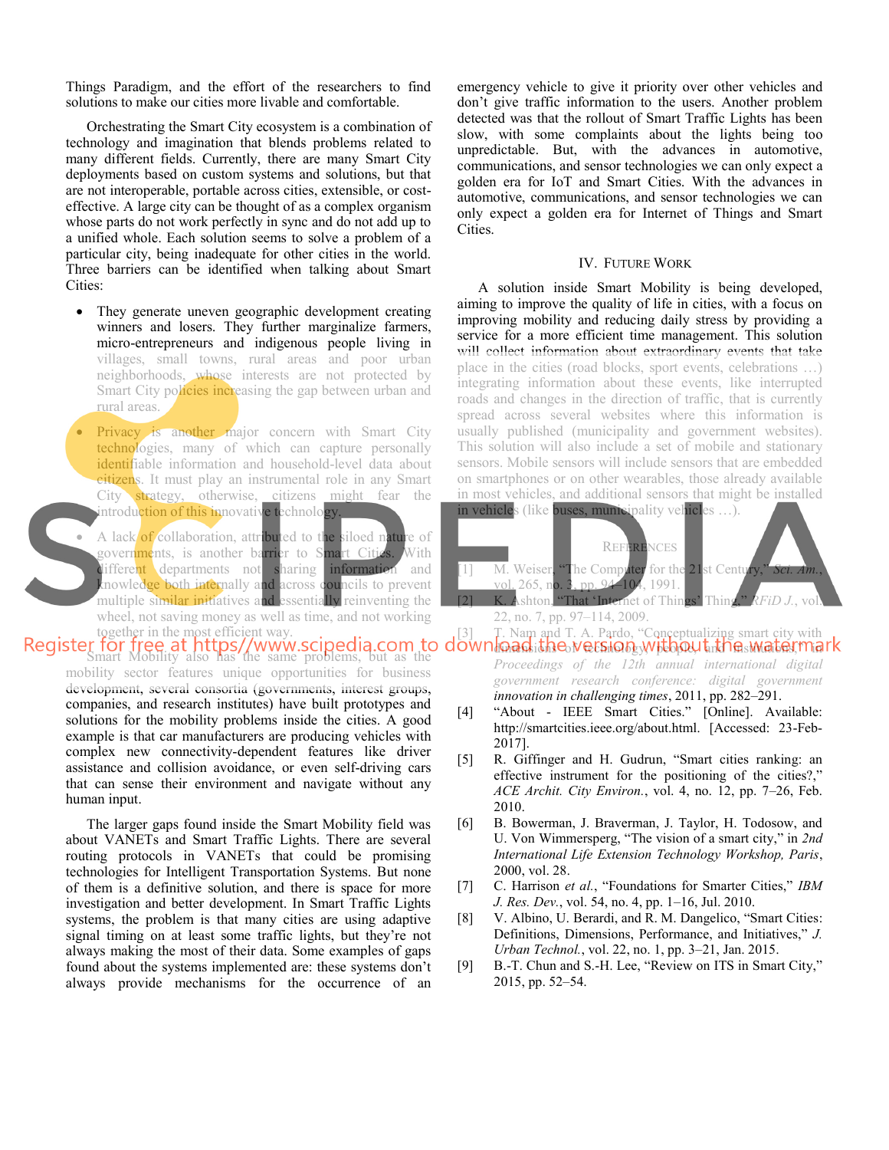Things Paradigm, and the effort of the researchers to find solutions to make our cities more livable and comfortable.

Orchestrating the Smart City ecosystem is a combination of technology and imagination that blends problems related to many different fields. Currently, there are many Smart City deployments based on custom systems and solutions, but that are not interoperable, portable across cities, extensible, or costeffective. A large city can be thought of as a complex organism whose parts do not work perfectly in sync and do not add up to a unified whole. Each solution seems to solve a problem of a particular city, being inadequate for other cities in the world. Three barriers can be identified when talking about Smart Cities:

- They generate uneven geographic development creating winners and losers. They further marginalize farmers, micro-entrepreneurs and indigenous people living in villages, small towns, rural areas and poor urban neighborhoods, whose interests are not protected by Smart City policies increasing the gap between urban and rural areas.
- Privacy is another major concern with Smart City technologies, many of which can capture personally identifiable information and household-level data about citizens. It must play an instrumental role in any Smart City strategy, otherwise, citizens might fear the introduction of this innovative technology.
- A lack of collaboration, attributed to the siloed nature of governments, is another barrier to Smart Cities. With different departments not sharing information and knowledge both internally and across councils to prevent multiple similar initiatives and essentially reinventing the wheel, not saving money as well as time, and not working

together in the most efficient way. Smart Mobility also has the same problems, but as the mobility sector features unique opportunities for business development, several consortia (governments, interest groups, companies, and research institutes) have built prototypes and solutions for the mobility problems inside the cities. A good example is that car manufacturers are producing vehicles with complex new connectivity-dependent features like driver assistance and collision avoidance, or even self-driving cars that can sense their environment and navigate without any human input.

The larger gaps found inside the Smart Mobility field was about VANETs and Smart Traffic Lights. There are several routing protocols in VANETs that could be promising technologies for Intelligent Transportation Systems. But none of them is a definitive solution, and there is space for more investigation and better development. In Smart Traffic Lights systems, the problem is that many cities are using adaptive signal timing on at least some traffic lights, but they're not always making the most of their data. Some examples of gaps found about the systems implemented are: these systems don't always provide mechanisms for the occurrence of an emergency vehicle to give it priority over other vehicles and don't give traffic information to the users. Another problem detected was that the rollout of Smart Traffic Lights has been slow, with some complaints about the lights being too unpredictable. But, with the advances in automotive, communications, and sensor technologies we can only expect a golden era for IoT and Smart Cities. With the advances in automotive, communications, and sensor technologies we can only expect a golden era for Internet of Things and Smart Cities.

#### IV. FUTURE WORK

A solution inside Smart Mobility is being developed, aiming to improve the quality of life in cities, with a focus on improving mobility and reducing daily stress by providing a service for a more efficient time management. This solution will collect information about extraordinary events that take place in the cities (road blocks, sport events, celebrations …) integrating information about these events, like interrupted roads and changes in the direction of traffic, that is currently spread across several websites where this information is usually published (municipality and government websites). This solution will also include a set of mobile and stationary sensors. Mobile sensors will include sensors that are embedded on smartphones or on other wearables, those already available in most vehicles, and additional sensors that might be installed in vehicles (like buses, municipality vehicles …).



22, no. 7, pp. 97–114, 2009.

[3] T. Nam and T. A. Pardo, "Conceptualizing smart city with IQQGiTRE) V EESIODgyV FEOQUTTA TE SWATEL MA *Proceedings of the 12th annual international digital government research conference: digital government innovation in challenging times*, 2011, pp. 282–291.

- [4] "About IEEE Smart Cities." [Online]. Available: http://smartcities.ieee.org/about.html. [Accessed: 23-Feb-2017].
- [5] R. Giffinger and H. Gudrun, "Smart cities ranking: an effective instrument for the positioning of the cities?," *ACE Archit. City Environ.*, vol. 4, no. 12, pp. 7–26, Feb. 2010.
- [6] B. Bowerman, J. Braverman, J. Taylor, H. Todosow, and U. Von Wimmersperg, "The vision of a smart city," in *2nd International Life Extension Technology Workshop, Paris*, 2000, vol. 28.
- [7] C. Harrison *et al.*, "Foundations for Smarter Cities," *IBM J. Res. Dev.*, vol. 54, no. 4, pp. 1–16, Jul. 2010.
- [8] V. Albino, U. Berardi, and R. M. Dangelico, "Smart Cities: Definitions, Dimensions, Performance, and Initiatives," *J. Urban Technol.*, vol. 22, no. 1, pp. 3–21, Jan. 2015.
- [9] B.-T. Chun and S.-H. Lee, "Review on ITS in Smart City," 2015, pp. 52–54.